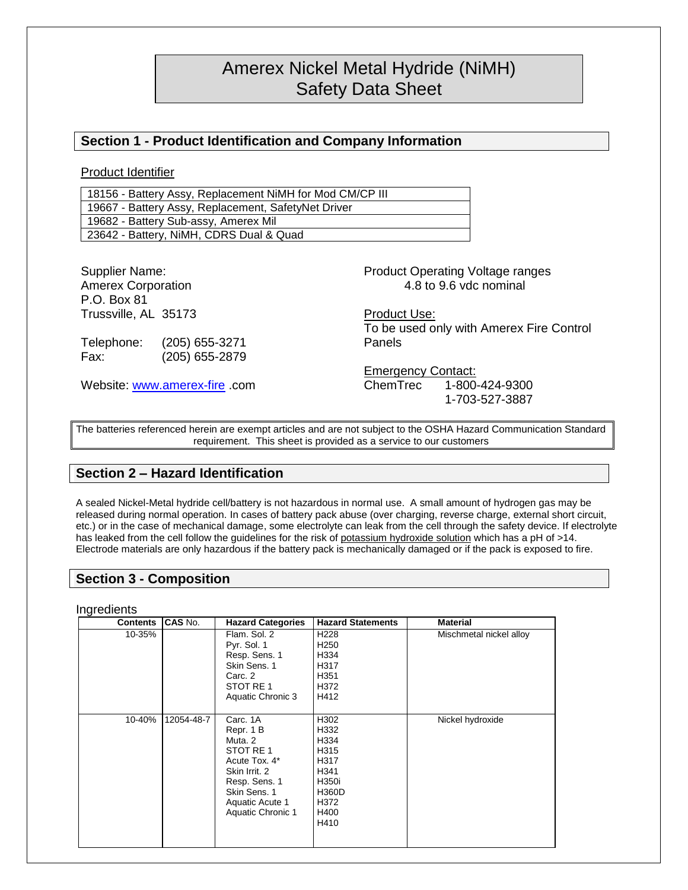# Amerex Nickel Metal Hydride (NiMH) Safety Data Sheet

# **Section 1 - Product Identification and Company Information**

Product Identifier

18156 - Battery Assy, Replacement NiMH for Mod CM/CP III 19667 - Battery Assy, Replacement, SafetyNet Driver 19682 - Battery Sub-assy, Amerex Mil 23642 - Battery, NiMH, CDRS Dual & Quad

| Supplier Name:               |                |                           | <b>Product Operating Voltage ranges</b>  |
|------------------------------|----------------|---------------------------|------------------------------------------|
| <b>Amerex Corporation</b>    |                |                           | 4.8 to 9.6 vdc nominal                   |
| P.O. Box 81                  |                |                           |                                          |
| Trussville, AL 35173         |                | Product Use:              |                                          |
|                              |                |                           | To be used only with Amerex Fire Control |
| Telephone:                   | (205) 655-3271 | Panels                    |                                          |
| Fax:                         | (205) 655-2879 |                           |                                          |
|                              |                | <b>Emergency Contact:</b> |                                          |
| Website: www.amerex-fire.com |                |                           | ChemTrec 1-800-424-9300                  |
|                              |                |                           | 1-703-527-3887                           |

The batteries referenced herein are exempt articles and are not subject to the OSHA Hazard Communication Standard requirement. This sheet is provided as a service to our customers

# **Section 2 – Hazard Identification**

A sealed Nickel-Metal hydride cell/battery is not hazardous in normal use. A small amount of hydrogen gas may be released during normal operation. In cases of battery pack abuse (over charging, reverse charge, external short circuit, etc.) or in the case of mechanical damage, some electrolyte can leak from the cell through the safety device. If electrolyte has leaked from the cell follow the guidelines for the risk of potassium hydroxide solution which has a pH of >14. Electrode materials are only hazardous if the battery pack is mechanically damaged or if the pack is exposed to fire.

## **Section 3 - Composition**

**Ingredients** 

| Contents | <b>CAS No.</b> | <b>Hazard Categories</b> | <b>Hazard Statements</b> | <b>Material</b>         |
|----------|----------------|--------------------------|--------------------------|-------------------------|
| 10-35%   |                | Flam, Sol. 2             | H <sub>228</sub>         | Mischmetal nickel alloy |
|          |                | Pyr. Sol. 1              | H <sub>250</sub>         |                         |
|          |                | Resp. Sens. 1            | H334                     |                         |
|          |                | Skin Sens, 1             | H317                     |                         |
|          |                | Carc. 2                  | H351                     |                         |
|          |                | STOT RE 1                | H372                     |                         |
|          |                | Aquatic Chronic 3        | H412                     |                         |
|          |                |                          |                          |                         |
| 10-40%   | 12054-48-7     | Carc. 1A                 | H302                     | Nickel hydroxide        |
|          |                | Repr. 1 B                | H332                     |                         |
|          |                | Muta, 2                  | H334                     |                         |
|          |                | STOT RE 1                | H315                     |                         |
|          |                | Acute Tox. 4*            | H317                     |                         |
|          |                | Skin Irrit, 2            | H341                     |                         |
|          |                | Resp. Sens. 1            | H350i                    |                         |
|          |                | Skin Sens, 1             | <b>H360D</b>             |                         |
|          |                | Aquatic Acute 1          | H372                     |                         |
|          |                | Aquatic Chronic 1        | H400                     |                         |
|          |                |                          | H410                     |                         |
|          |                |                          |                          |                         |
|          |                |                          |                          |                         |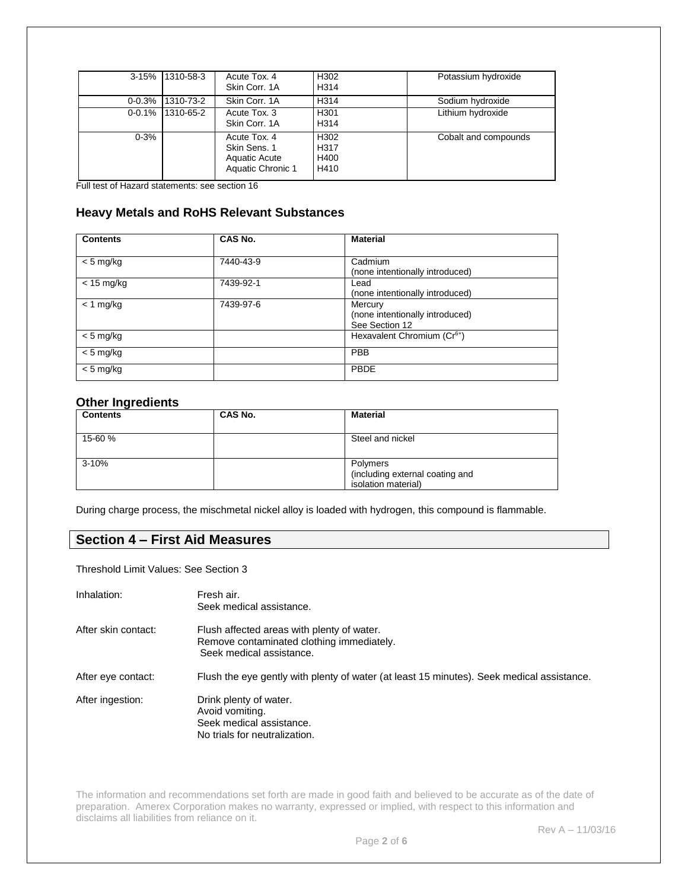| $3 - 15%$  | 1310-58-3 | Acute Tox, 4<br>Skin Corr, 1A                                      | H302<br>H314                 | Potassium hydroxide  |
|------------|-----------|--------------------------------------------------------------------|------------------------------|----------------------|
| $0 - 0.3%$ | 1310-73-2 | Skin Corr, 1A                                                      | H314                         | Sodium hydroxide     |
| $0 - 0.1%$ | 1310-65-2 | Acute Tox, 3<br>Skin Corr, 1A                                      | H301<br>H314                 | Lithium hydroxide    |
| $0 - 3%$   |           | Acute Tox, 4<br>Skin Sens, 1<br>Aquatic Acute<br>Aquatic Chronic 1 | H302<br>H317<br>H400<br>H410 | Cobalt and compounds |

Full test of Hazard statements: see section 16

# **Heavy Metals and RoHS Relevant Substances**

| <b>Contents</b> | CAS No.   | <b>Material</b>                                              |
|-----------------|-----------|--------------------------------------------------------------|
| $< 5$ mg/kg     | 7440-43-9 | Cadmium<br>(none intentionally introduced)                   |
| $< 15$ mg/kg    | 7439-92-1 | Lead<br>(none intentionally introduced)                      |
| $<$ 1 mg/kg     | 7439-97-6 | Mercury<br>(none intentionally introduced)<br>See Section 12 |
| $< 5$ mg/kg     |           | Hexavalent Chromium (Cr <sup>6+</sup> )                      |
| $< 5$ mg/kg     |           | <b>PBB</b>                                                   |
| $< 5$ mg/kg     |           | PBDE                                                         |

## **Other Ingredients**

| <b>Contents</b> | CAS No. | <b>Material</b>                                                    |
|-----------------|---------|--------------------------------------------------------------------|
| 15-60 %         |         | Steel and nickel                                                   |
| $3 - 10%$       |         | Polymers<br>(including external coating and<br>isolation material) |

During charge process, the mischmetal nickel alloy is loaded with hydrogen, this compound is flammable.

# **Section 4 – First Aid Measures**

Threshold Limit Values: See Section 3

| Inhalation:         | Fresh air.<br>Seek medical assistance.                                                                              |
|---------------------|---------------------------------------------------------------------------------------------------------------------|
| After skin contact: | Flush affected areas with plenty of water.<br>Remove contaminated clothing immediately.<br>Seek medical assistance. |
| After eye contact:  | Flush the eye gently with plenty of water (at least 15 minutes). Seek medical assistance.                           |
| After ingestion:    | Drink plenty of water.<br>Avoid vomiting.<br>Seek medical assistance.<br>No trials for neutralization.              |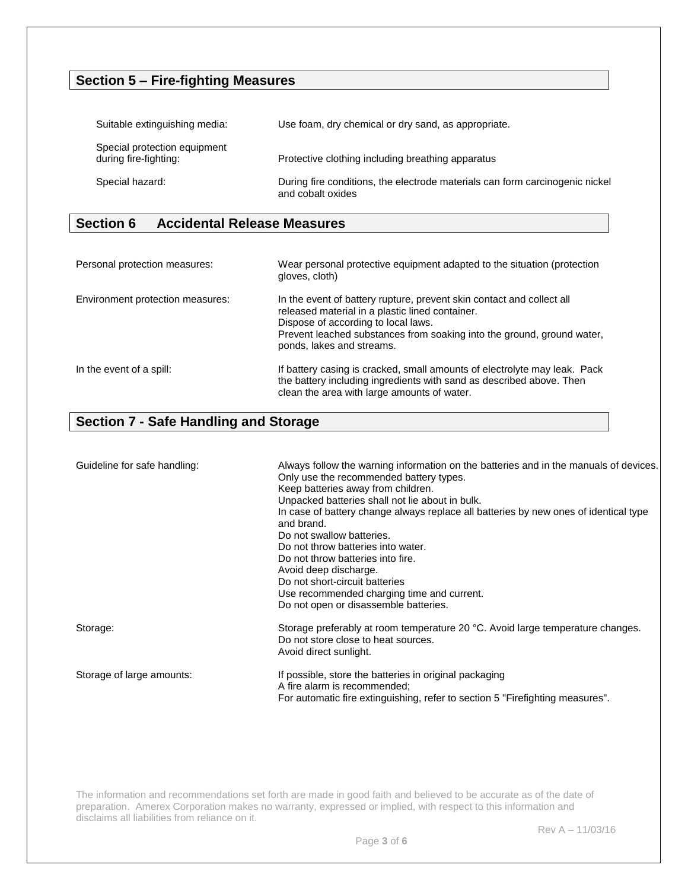# **Section 5 – Fire-fighting Measures**

| Suitable extinguishing media:                         | Use foam, dry chemical or dry sand, as appropriate.                                               |
|-------------------------------------------------------|---------------------------------------------------------------------------------------------------|
| Special protection equipment<br>during fire-fighting: | Protective clothing including breathing apparatus                                                 |
| Special hazard:                                       | During fire conditions, the electrode materials can form carcinogenic nickel<br>and cobalt oxides |

# **Section 6 Accidental Release Measures**

| Personal protection measures:    | Wear personal protective equipment adapted to the situation (protection<br>gloves, cloth)                                                                                                                                                                              |
|----------------------------------|------------------------------------------------------------------------------------------------------------------------------------------------------------------------------------------------------------------------------------------------------------------------|
| Environment protection measures: | In the event of battery rupture, prevent skin contact and collect all<br>released material in a plastic lined container.<br>Dispose of according to local laws.<br>Prevent leached substances from soaking into the ground, ground water,<br>ponds, lakes and streams. |
| In the event of a spill:         | If battery casing is cracked, small amounts of electrolyte may leak. Pack<br>the battery including ingredients with sand as described above. Then<br>clean the area with large amounts of water.                                                                       |

# **Section 7 - Safe Handling and Storage**

| Guideline for safe handling: | Always follow the warning information on the batteries and in the manuals of devices.<br>Only use the recommended battery types.<br>Keep batteries away from children.<br>Unpacked batteries shall not lie about in bulk.<br>In case of battery change always replace all batteries by new ones of identical type<br>and brand.<br>Do not swallow batteries.<br>Do not throw batteries into water.<br>Do not throw batteries into fire.<br>Avoid deep discharge.<br>Do not short-circuit batteries<br>Use recommended charging time and current.<br>Do not open or disassemble batteries. |
|------------------------------|-------------------------------------------------------------------------------------------------------------------------------------------------------------------------------------------------------------------------------------------------------------------------------------------------------------------------------------------------------------------------------------------------------------------------------------------------------------------------------------------------------------------------------------------------------------------------------------------|
| Storage:                     | Storage preferably at room temperature 20 °C. Avoid large temperature changes.<br>Do not store close to heat sources.<br>Avoid direct sunlight.                                                                                                                                                                                                                                                                                                                                                                                                                                           |
| Storage of large amounts:    | If possible, store the batteries in original packaging<br>A fire alarm is recommended:<br>For automatic fire extinguishing, refer to section 5 "Firefighting measures".                                                                                                                                                                                                                                                                                                                                                                                                                   |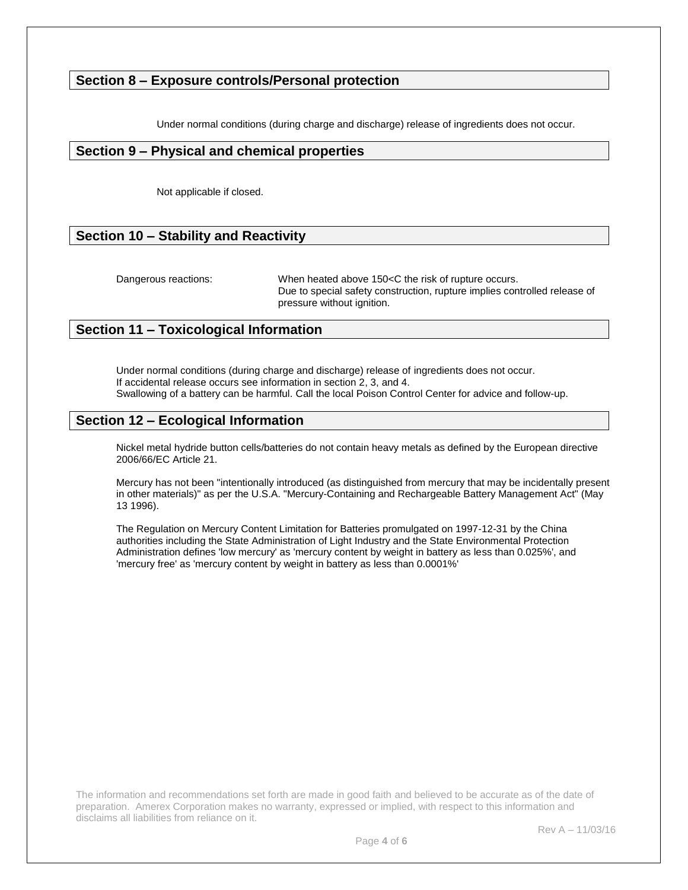# **Section 8 – Exposure controls/Personal protection**

Under normal conditions (during charge and discharge) release of ingredients does not occur.

## **Section 9 – Physical and chemical properties**

Not applicable if closed.

# **Section 10 – Stability and Reactivity**

Dangerous reactions: When heated above 150<C the risk of rupture occurs. Due to special safety construction, rupture implies controlled release of pressure without ignition.

# **Section 11 – Toxicological Information**

Under normal conditions (during charge and discharge) release of ingredients does not occur. If accidental release occurs see information in section 2, 3, and 4. Swallowing of a battery can be harmful. Call the local Poison Control Center for advice and follow-up.

# **Section 12 – Ecological Information**

Nickel metal hydride button cells/batteries do not contain heavy metals as defined by the European directive 2006/66/EC Article 21.

Mercury has not been "intentionally introduced (as distinguished from mercury that may be incidentally present in other materials)" as per the U.S.A. "Mercury-Containing and Rechargeable Battery Management Act" (May 13 1996).

The Regulation on Mercury Content Limitation for Batteries promulgated on 1997-12-31 by the China authorities including the State Administration of Light Industry and the State Environmental Protection Administration defines 'low mercury' as 'mercury content by weight in battery as less than 0.025%', and 'mercury free' as 'mercury content by weight in battery as less than 0.0001%'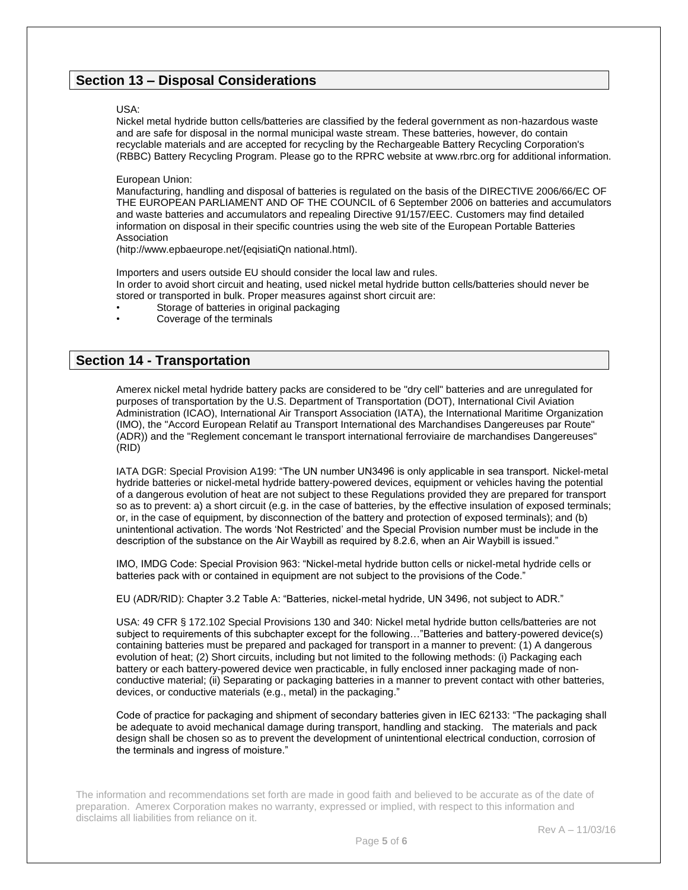# **Section 13 – Disposal Considerations**

#### USA:

Nickel metal hydride button cells/batteries are classified by the federal government as non-hazardous waste and are safe for disposal in the normal municipal waste stream. These batteries, however, do contain recyclable materials and are accepted for recycling by the Rechargeable Battery Recycling Corporation's (RBBC) Battery Recycling Program. Please go to the RPRC website at www.rbrc.org for additional information.

#### European Union:

Manufacturing, handling and disposal of batteries is regulated on the basis of the DIRECTIVE 2006/66/EC OF THE EUROPEAN PARLIAMENT AND OF THE COUNCIL of 6 September 2006 on batteries and accumulators and waste batteries and accumulators and repealing Directive 91/157/EEC. Customers may find detailed information on disposal in their specific countries using the web site of the European Portable Batteries Association

(hitp://www.epbaeurope.net/{eqisiatiQn national.html).

Importers and users outside EU should consider the local law and rules. In order to avoid short circuit and heating, used nickel metal hydride button cells/batteries should never be stored or transported in bulk. Proper measures against short circuit are:

- Storage of batteries in original packaging
- Coverage of the terminals

## **Section 14 - Transportation**

Amerex nickel metal hydride battery packs are considered to be "dry cell" batteries and are unregulated for purposes of transportation by the U.S. Department of Transportation (DOT), International Civil Aviation Administration (ICAO), International Air Transport Association (IATA), the International Maritime Organization (IMO), the "Accord European Relatif au Transport International des Marchandises Dangereuses par Route" (ADR)) and the "Reglement concemant le transport international ferroviaire de marchandises Dangereuses" (RID)

IATA DGR: Special Provision A199: "The UN number UN3496 is only applicable in sea transport. Nickel-metal hydride batteries or nickel-metal hydride battery-powered devices, equipment or vehicles having the potential of a dangerous evolution of heat are not subject to these Regulations provided they are prepared for transport so as to prevent: a) a short circuit (e.g. in the case of batteries, by the effective insulation of exposed terminals; or, in the case of equipment, by disconnection of the battery and protection of exposed terminals); and (b) unintentional activation. The words 'Not Restricted' and the Special Provision number must be include in the description of the substance on the Air Waybill as required by 8.2.6, when an Air Waybill is issued."

IMO, IMDG Code: Special Provision 963: "Nickel-metal hydride button cells or nickel-metal hydride cells or batteries pack with or contained in equipment are not subject to the provisions of the Code."

EU (ADR/RID): Chapter 3.2 Table A: "Batteries, nickel-metal hydride, UN 3496, not subject to ADR."

USA: 49 CFR § 172.102 Special Provisions 130 and 340: Nickel metal hydride button cells/batteries are not subject to requirements of this subchapter except for the following…"Batteries and battery-powered device(s) containing batteries must be prepared and packaged for transport in a manner to prevent: (1) A dangerous evolution of heat; (2) Short circuits, including but not limited to the following methods: (i) Packaging each battery or each battery-powered device wen practicable, in fully enclosed inner packaging made of nonconductive material; (ii) Separating or packaging batteries in a manner to prevent contact with other batteries, devices, or conductive materials (e.g., metal) in the packaging."

Code of practice for packaging and shipment of secondary batteries given in IEC 62133: "The packaging shall be adequate to avoid mechanical damage during transport, handling and stacking. The materials and pack design shall be chosen so as to prevent the development of unintentional electrical conduction, corrosion of the terminals and ingress of moisture."